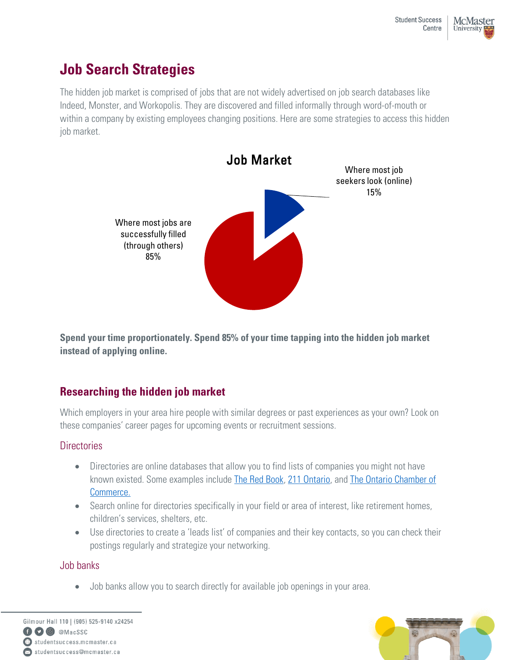# **Job Search Strategies**

The hidden job market is comprised of jobs that are not widely advertised on job search databases like Indeed, Monster, and Workopolis. They are discovered and filled informally through word-of-mouth or within a company by existing employees changing positions. Here are some strategies to access this hidden job market.



**Spend your time proportionately. Spend 85% of your time tapping into the hidden job market instead of applying online.**

# **Researching the hidden job market**

Which employers in your area hire people with similar degrees or past experiences as your own? Look on these companies' career pages for upcoming events or recruitment sessions.

### **Directories**

- Directories are online databases that allow you to find lists of companies you might not have known existed. Some examples include [The Red Book,](https://redbook.hpl.ca/) [211 Ontario,](https://211ontario.ca/) and [The Ontario Chamber of](https://occ.ca/business-directory/) [Commerce.](https://occ.ca/business-directory/)
- Search online for directories specifically in your field or area of interest, like retirement homes, children's services, shelters, etc.
- Use directories to create a 'leads list' of companies and their key contacts, so you can check their postings regularly and strategize your networking.

### Job banks

• Job banks allow you to search directly for available job openings in your area.



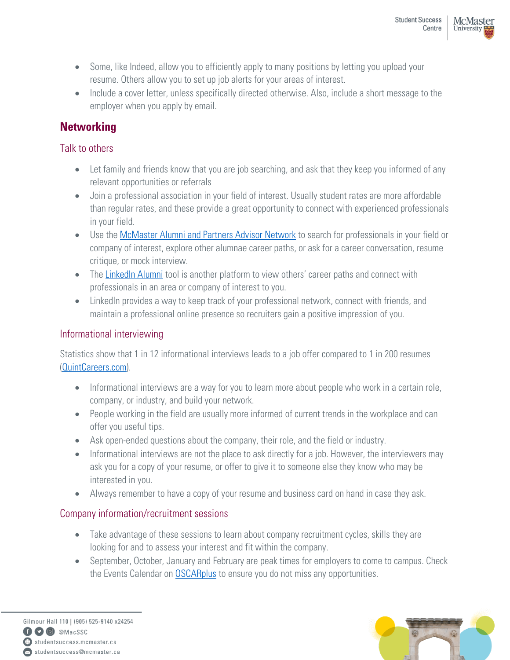- Some, like Indeed, allow you to efficiently apply to many positions by letting you upload your resume. Others allow you to set up job alerts for your areas of interest.
- Include a cover letter, unless specifically directed otherwise. Also, include a short message to the employer when you apply by email.

# **Networking**

### Talk to others

- Let family and friends know that you are job searching, and ask that they keep you informed of any relevant opportunities or referrals
- Join a professional association in your field of interest. Usually student rates are more affordable than regular rates, and these provide a great opportunity to connect with experienced professionals in your field.
- Use the [McMaster Alumni and Partners Advisor Network](https://mcmaster.firsthand.co/) to search for professionals in your field or company of interest, explore other alumnae career paths, or ask for a career conversation, resume critique, or mock interview.
- The [LinkedIn Alumni](https://www.linkedin.com/school/mcmaster-university/people/) tool is another platform to view others' career paths and connect with professionals in an area or company of interest to you.
- LinkedIn provides a way to keep track of your professional network, connect with friends, and maintain a professional online presence so recruiters gain a positive impression of you.

### Informational interviewing

Statistics show that 1 in 12 informational interviews leads to a job offer compared to 1 in 200 resumes [\(QuintCareers.com\)](https://www.livecareer.com/).

- Informational interviews are a way for you to learn more about people who work in a certain role, company, or industry, and build your network.
- People working in the field are usually more informed of current trends in the workplace and can offer you useful tips.
- Ask open-ended questions about the company, their role, and the field or industry.
- Informational interviews are not the place to ask directly for a job. However, the interviewers may ask you for a copy of your resume, or offer to give it to someone else they know who may be interested in you.
- Always remember to have a copy of your resume and business card on hand in case they ask.

### Company information/recruitment sessions

- Take advantage of these sessions to learn about company recruitment cycles, skills they are looking for and to assess your interest and fit within the company.
- September, October, January and February are peak times for employers to come to campus. Check the Events Calendar on **OSCARplus** to ensure you do not miss any opportunities.

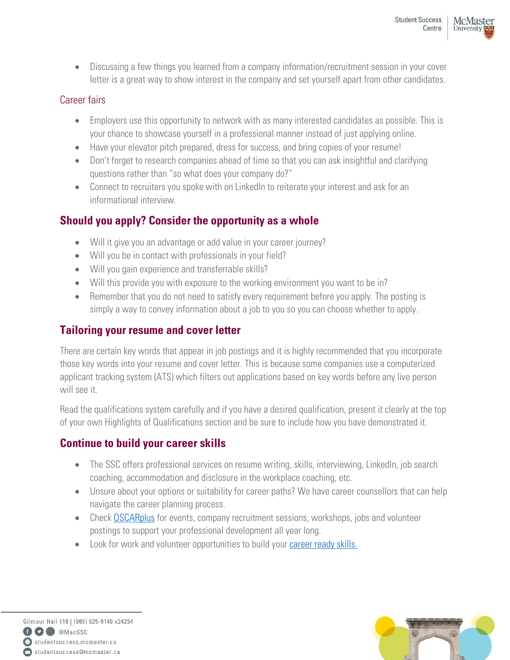• Discussing a few things you learned from a company information/recruitment session in your cover letter is a great way to show interest in the company and set yourself apart from other candidates.

### Career fairs

- Employers use this opportunity to network with as many interested candidates as possible. This is your chance to showcase yourself in a professional manner instead of just applying online.
- Have your elevator pitch prepared, dress for success, and bring copies of your resume!
- Don't forget to research companies ahead of time so that you can ask insightful and clarifying questions rather than "so what does your company do?"
- Connect to recruiters you spoke with on LinkedIn to reiterate your interest and ask for an informational interview.

# **Should you apply? Consider the opportunity as a whole**

- Will it give you an advantage or add value in your career journey?
- Will you be in contact with professionals in your field?
- Will you gain experience and transferrable skills?
- Will this provide you with exposure to the working environment you want to be in?
- Remember that you do not need to satisfy every requirement before you apply. The posting is simply a way to convey information about a job to you so you can choose whether to apply.

## **Tailoring your resume and cover letter**

There are certain key words that appear in job postings and it is highly recommended that you incorporate those key words into your resume and cover letter. This is because some companies use a computerized applicant tracking system (ATS) which filters out applications based on key words before any live person will see it.

Read the qualifications system carefully and if you have a desired qualification, present it clearly at the top of your own Highlights of Qualifications section and be sure to include how you have demonstrated it.

# **Continue to build your career skills**

- The SSC offers professional services on resume writing, skills, interviewing, LinkedIn, job search coaching, accommodation and disclosure in the workplace coaching, etc.
- Unsure about your options or suitability for career paths? We have career counsellors that can help navigate the career planning process.
- Check **OSCARplus** for events, company recruitment sessions, workshops, jobs and volunteer postings to support your professional development all year long.
- Look for work and volunteer opportunities to build your [career ready skills.](https://www.naceweb.org/career-readiness/competencies/career-readiness-defined/)

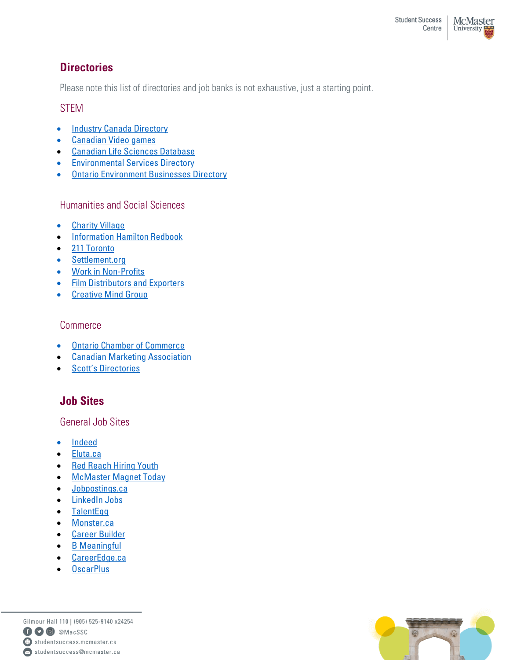### **Directories**

Please note this list of directories and job banks is not exhaustive, just a starting point.

#### STEM

- [Industry Canada Directory](https://www.ic.gc.ca/eic/site/ic-ic.nsf/eng/h_dh00027.html)
- [Canadian Video games](https://canadianarcadian.neocities.org/)
- [Canadian Life Sciences Database](https://www.canadianlifesciences.com/ca/portal/index.php)
- [Environmental Services Directory](https://environment-analyst.com/dis/directory)
- [Ontario Environment Businesses Directory](https://www.ontario.ca/page/ontario-environment-business-directory)

Humanities and Social Sciences

- [Charity](https://charityvillage.com/app/) Village
- [Information Hamilton Redbook](https://redbook.hpl.ca/)
- [211](https://211central.ca/) Toronto
- [Settlement.org](https://settlement.org/)
- [Work in Non-Profits](https://workinnonprofits.ca/)
- [Film Distributors and Exporters](https://www.cafde.ca/)
- [Creative Mind Group](https://thecreativemindgroup.com/)

### Commerce

- [Ontario Chamber of Commerce](https://occ.ca/)
- [Canadian Marketing Association](https://thecma.ca/)
- [Scott's](https://www.scottsdirectories.com/) Directories

# **Job Sites**

General Job Sites

- [Indeed](https://ca.indeed.com/)
- [Eluta.ca](https://www.eluta.ca/new-grad-jobs)
- [Red Reach Hiring Youth](http://www.redreach.ca/)
- [McMaster Magnet Today](https://magnet.whoplusyou.com/lp/mcmaster)
- [Jobpostings.ca](https://www.jobpostings.ca/)
- [LinkedIn Jobs](https://www.linkedin.com/jobs/?originalSubdomain=ca)
- [TalentEgg](https://talentegg.ca/)
- [Monster.ca](https://www.monster.ca/)
- [Career Builder](https://www.careerbuilder.ca/)
- [B Meaningful](https://www.bmeaningful.com/search)
- [CareerEdge.ca](https://www.careeredge.ca/for-job-seekers/)
- [OscarPlus](https://www.oscarplusmcmaster.ca/home.htm)

Gilmour Hall 110 | (905) 525-9140 x24254 **CO** @ @MacSSC  $\bigoplus$  studentsuccess.mcmaster.ca Studentsuccess@mcmaster.ca